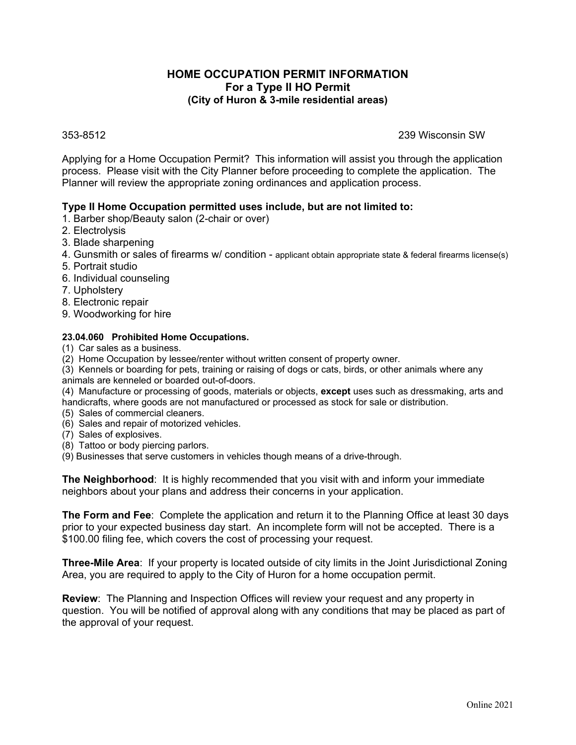# **HOME OCCUPATION PERMIT INFORMATION For a Type II HO Permit (City of Huron & 3-mile residential areas)**

353-8512 239 Wisconsin SW

Applying for a Home Occupation Permit? This information will assist you through the application process. Please visit with the City Planner before proceeding to complete the application. The Planner will review the appropriate zoning ordinances and application process.

# **Type II Home Occupation permitted uses include, but are not limited to:**

- 1. Barber shop/Beauty salon (2-chair or over)
- 2. Electrolysis
- 3. Blade sharpening
- 4. Gunsmith or sales of firearms w/ condition applicant obtain appropriate state & federal firearms license(s)
- 5. Portrait studio
- 6. Individual counseling
- 7. Upholstery
- 8. Electronic repair
- 9. Woodworking for hire

#### **23.04.060 Prohibited Home Occupations.**

- (1) Car sales as a business.
- (2) Home Occupation by lessee/renter without written consent of property owner.

(3) Kennels or boarding for pets, training or raising of dogs or cats, birds, or other animals where any animals are kenneled or boarded out-of-doors.

(4) Manufacture or processing of goods, materials or objects, **except** uses such as dressmaking, arts and handicrafts, where goods are not manufactured or processed as stock for sale or distribution.

- (5) Sales of commercial cleaners.
- (6) Sales and repair of motorized vehicles.
- (7) Sales of explosives.
- (8) Tattoo or body piercing parlors.

(9) Businesses that serve customers in vehicles though means of a drive-through.

**The Neighborhood**: It is highly recommended that you visit with and inform your immediate neighbors about your plans and address their concerns in your application.

**The Form and Fee**: Complete the application and return it to the Planning Office at least 30 days prior to your expected business day start. An incomplete form will not be accepted. There is a \$100.00 filing fee, which covers the cost of processing your request.

**Three-Mile Area**: If your property is located outside of city limits in the Joint Jurisdictional Zoning Area, you are required to apply to the City of Huron for a home occupation permit.

**Review**: The Planning and Inspection Offices will review your request and any property in question. You will be notified of approval along with any conditions that may be placed as part of the approval of your request.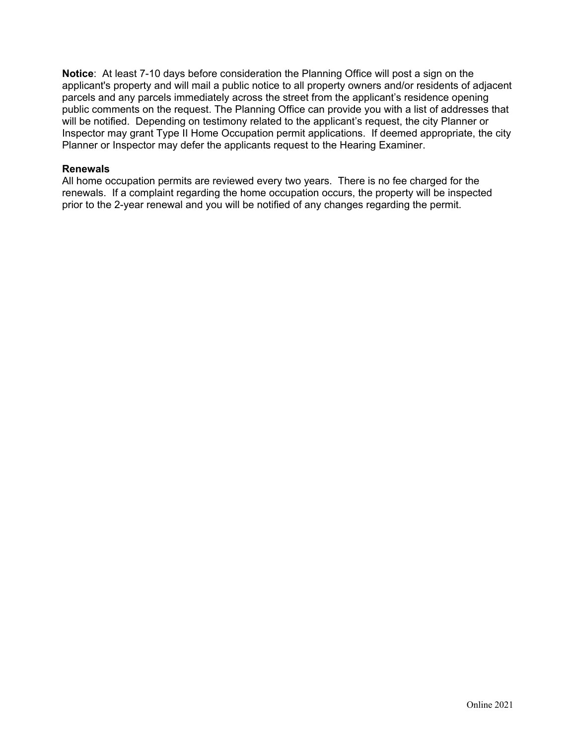**Notice**: At least 7-10 days before consideration the Planning Office will post a sign on the applicant's property and will mail a public notice to all property owners and/or residents of adjacent parcels and any parcels immediately across the street from the applicant's residence opening public comments on the request. The Planning Office can provide you with a list of addresses that will be notified. Depending on testimony related to the applicant's request, the city Planner or Inspector may grant Type II Home Occupation permit applications. If deemed appropriate, the city Planner or Inspector may defer the applicants request to the Hearing Examiner.

### **Renewals**

All home occupation permits are reviewed every two years. There is no fee charged for the renewals. If a complaint regarding the home occupation occurs, the property will be inspected prior to the 2-year renewal and you will be notified of any changes regarding the permit.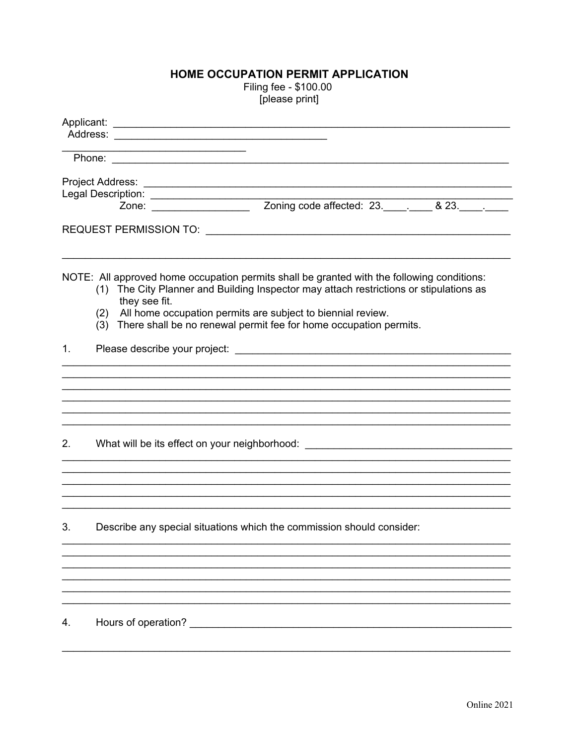# HOME OCCUPATION PERMIT APPLICATION

Filing fee - \$100.00 [please print]

| the contract of the contract of the contract of the contract of the contract of |                                                                                                                                                                                                                                                                                                                                                      |  |  |  |  |
|---------------------------------------------------------------------------------|------------------------------------------------------------------------------------------------------------------------------------------------------------------------------------------------------------------------------------------------------------------------------------------------------------------------------------------------------|--|--|--|--|
|                                                                                 |                                                                                                                                                                                                                                                                                                                                                      |  |  |  |  |
|                                                                                 |                                                                                                                                                                                                                                                                                                                                                      |  |  |  |  |
|                                                                                 |                                                                                                                                                                                                                                                                                                                                                      |  |  |  |  |
|                                                                                 | Legal Description:<br>Zone: <u>Zone:</u> Zoning code affected: 23. 423. 23. 2014                                                                                                                                                                                                                                                                     |  |  |  |  |
|                                                                                 |                                                                                                                                                                                                                                                                                                                                                      |  |  |  |  |
|                                                                                 | NOTE: All approved home occupation permits shall be granted with the following conditions:<br>(1) The City Planner and Building Inspector may attach restrictions or stipulations as<br>they see fit.<br>All home occupation permits are subject to biennial review.<br>(2)<br>(3) There shall be no renewal permit fee for home occupation permits. |  |  |  |  |
| 1 <sub>1</sub>                                                                  |                                                                                                                                                                                                                                                                                                                                                      |  |  |  |  |
|                                                                                 |                                                                                                                                                                                                                                                                                                                                                      |  |  |  |  |
| 2.                                                                              | What will be its effect on your neighborhood: __________________________________                                                                                                                                                                                                                                                                     |  |  |  |  |
|                                                                                 |                                                                                                                                                                                                                                                                                                                                                      |  |  |  |  |
| 3.                                                                              | Describe any special situations which the commission should consider:                                                                                                                                                                                                                                                                                |  |  |  |  |
|                                                                                 |                                                                                                                                                                                                                                                                                                                                                      |  |  |  |  |
|                                                                                 |                                                                                                                                                                                                                                                                                                                                                      |  |  |  |  |
|                                                                                 |                                                                                                                                                                                                                                                                                                                                                      |  |  |  |  |
| 4.                                                                              | Hours of operation?                                                                                                                                                                                                                                                                                                                                  |  |  |  |  |